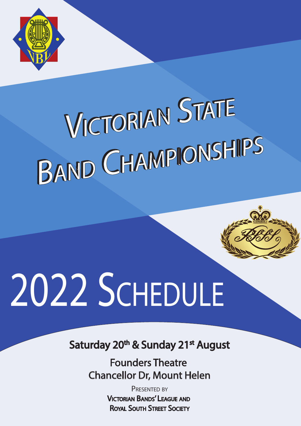

# VICTORIAN STATE BAND CHAMPIONSHIPS

# **2021 SCHEDULE 2022**

Saturday 20<sup>th</sup> & Sunday 21<sup>st</sup> August

**Founders Theatre** Chancellor Dr, Mount Helen

> PRESENTED BY VICTORIAN BANDS' LEAGUE AND ROYAL SOUTH STREET SOCIETY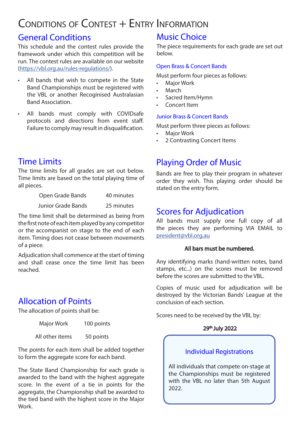# Conditions of Contest + Entry Information

## General Conditions

This schedule and the contest rules provide the framework under which this competition will be run. The contest rules are available on our website (https://vbl.org.au/rules-regulations/).

- All bands that wish to compete in the State Band Championships must be registered with the VBL or another Recoginised Australasian Band Association.
- All bands must comply with COVIDsafe protocols and directions from event staff. Failure to comply may result in disqualification.

# Time Limits

The time limits for all grades are set out below. Time limits are based on the total playing time of all pieces.

| Open Grade Bands          | 40 minutes |  |
|---------------------------|------------|--|
| <b>Junior Grade Bands</b> | 25 minutes |  |

The time limit shall be determined as being from the first note of each item played by any competitor or the accompanist on stage to the end of each item. Timing does not cease between movements of a piece.

Adjudication shall commence at the start of timing and shall cease once the time limit has been reached.

# Allocation of Points

The allocation of points shall be:

Major Work 100 points

All other items 50 points

The points for each item shall be added together to form the aggregate score for each band.

The State Band Championship for each grade is awarded to the band with the highest aggregate score. In the event of a tie in points for the aggregate, the Championship shall be awarded to the tied band with the highest score in the Major Work.

# Music Choice

The piece requirements for each grade are set out below.

#### Open Brass & Concert Bands

Must perform four pieces as follows:

- **Major Work**
- **March**
- Sacred Item/Hymn
- Concert Item

#### Junior Brass & Concert Bands

Must perform three pieces as follows:

- Major Work
- 2 Contrasting Concert Items

# Playing Order of Music

Bands are free to play their program in whatever order they wish. This playing order should be stated on the entry form.

## Scores for Adjudication

All bands must supply one full copy of all the pieces they are performing VIA EMAIL to president@vbl.org.au

#### All bars must be numbered.

Any identifying marks (hand-written notes, band stamps, etc...) on the scores must be removed before the scores are submitted to the VBL.

Copies of music used for adjudication will be destroyed by the Victorian Bands' League at the conclusion of each section.

Scores need to be received by the VBL by:

#### 29th July 2022

#### Individual Registrations

All individuals that compete on-stage at the Championships must be registered with the VBL no later than 5th August 2022.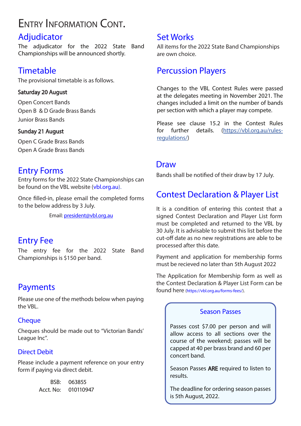# Entry Information Cont.

# Adjudicator

The adjudicator for the 2022 State Band Championships will be announced shortly.

# **Timetable**

The provisional timetable is as follows.

#### Saturday 20 August

Open Concert Bands Open B & D Grade Brass Bands Junior Brass Bands

#### Sunday 21 August

Open C Grade Brass Bands Open A Grade Brass Bands

## Entry Forms

Entry forms for the 2022 State Championships can be found on the VBL website (vbl.org.au).

Once filled-in, please email the completed forms to the below address by 3 July.

Email: president@vbl.org.au

## Entry Fee

The entry fee for the 2022 State Band Championships is \$150 per band.

## Payments

Please use one of the methods below when paying the VBL.

#### **Cheque**

Cheques should be made out to "Victorian Bands' League Inc".

#### Direct Debit

Please include a payment reference on your entry form if paying via direct debit.

| BSB:      | 063855    |
|-----------|-----------|
| Acct. No: | 010110947 |

### Set Works

All items for the 2022 State Band Championships are own choice.

# Percussion Players

Changes to the VBL Contest Rules were passed at the delegates meeting in November 2021. The changes included a limit on the number of bands per section with which a player may compete.

Please see clause 15.2 in the Contest Rules for further details. (https://vbl.org.au/rulesregulations/)

### **Draw**

Bands shall be notified of their draw by 17 July.

# Contest Declaration & Player List

It is a condition of entering this contest that a signed Contest Declaration and Player List form must be completed and returned to the VBL by 30 July. It is advisable to submit this list before the cut-off date as no new registrations are able to be processed after this date.

Payment and application for membership forms must be recieved no later than 5th August 2022

The Application for Membership form as well as the Contest Declaration & Player List Form can be found here (https://vbl.org.au/forms-fees/).

#### Season Passes

Passes cost \$7.00 per person and will allow access to all sections over the course of the weekend; passes will be capped at 40 per brass brand and 60 per concert band.

Season Passes ARE required to listen to results.

The deadline for ordering season passes is 5th August, 2022.